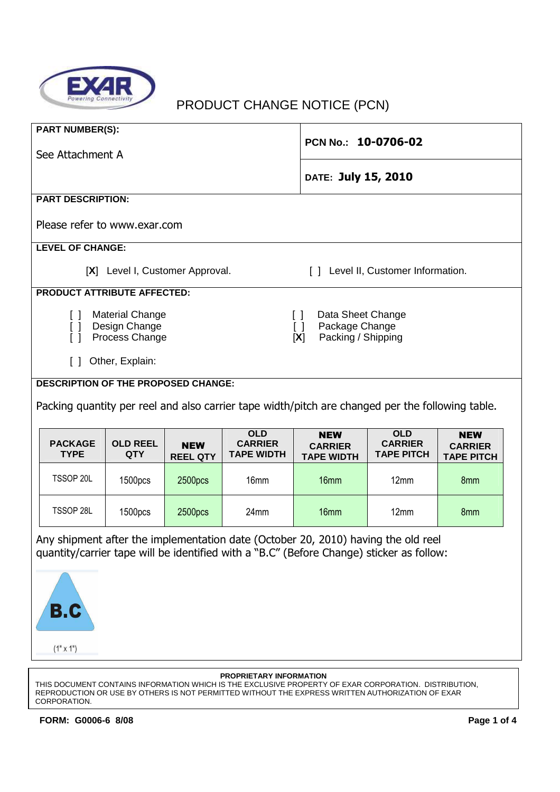

# PRODUCT CHANGE NOTICE (PCN)

| <b>PART NUMBER(S):</b>                                                                           |                               |                                                   | PCN No.: 10-0706-02                               |                                                   |                                                   |  |
|--------------------------------------------------------------------------------------------------|-------------------------------|---------------------------------------------------|---------------------------------------------------|---------------------------------------------------|---------------------------------------------------|--|
| See Attachment A                                                                                 |                               |                                                   |                                                   |                                                   |                                                   |  |
|                                                                                                  |                               |                                                   | DATE: July 15, 2010                               |                                                   |                                                   |  |
| <b>PART DESCRIPTION:</b>                                                                         |                               |                                                   |                                                   |                                                   |                                                   |  |
| Please refer to www.exar.com                                                                     |                               |                                                   |                                                   |                                                   |                                                   |  |
| <b>LEVEL OF CHANGE:</b>                                                                          |                               |                                                   |                                                   |                                                   |                                                   |  |
| [X] Level I, Customer Approval.<br>Level II, Customer Information.<br>$\Box$                     |                               |                                                   |                                                   |                                                   |                                                   |  |
| <b>PRODUCT ATTRIBUTE AFFECTED:</b>                                                               |                               |                                                   |                                                   |                                                   |                                                   |  |
| <b>Material Change</b><br>Data Sheet Change<br>$\Box$<br>$\Box$                                  |                               |                                                   |                                                   |                                                   |                                                   |  |
| Design Change<br>$\lceil$ $\rceil$<br>$\Box$<br>Process Change<br>$\lceil$ $\rceil$<br>[X]       |                               |                                                   |                                                   | Package Change<br>Packing / Shipping              |                                                   |  |
| Other, Explain:<br>$\Box$                                                                        |                               |                                                   |                                                   |                                                   |                                                   |  |
|                                                                                                  |                               |                                                   |                                                   |                                                   |                                                   |  |
| <b>DESCRIPTION OF THE PROPOSED CHANGE:</b>                                                       |                               |                                                   |                                                   |                                                   |                                                   |  |
| Packing quantity per reel and also carrier tape width/pitch are changed per the following table. |                               |                                                   |                                                   |                                                   |                                                   |  |
| <b>PACKAGE</b><br><b>OLD REEL</b><br><b>TYPE</b><br><b>QTY</b>                                   | <b>NEW</b><br><b>REEL QTY</b> | <b>OLD</b><br><b>CARRIER</b><br><b>TAPE WIDTH</b> | <b>NEW</b><br><b>CARRIER</b><br><b>TAPE WIDTH</b> | <b>OLD</b><br><b>CARRIER</b><br><b>TAPE PITCH</b> | <b>NEW</b><br><b>CARRIER</b><br><b>TAPE PITCH</b> |  |
| TSSOP 20L<br>1500pcs                                                                             | 2500pcs                       | 16 <sub>mm</sub>                                  | 16 <sub>mm</sub>                                  | 12mm                                              | 8 <sub>mm</sub>                                   |  |
| TSSOP 28L<br>1500pcs                                                                             | 2500pcs                       | 24 <sub>mm</sub>                                  | 16 <sub>mm</sub>                                  | 12mm                                              | 8 <sub>mm</sub>                                   |  |

Any shipment after the implementation date (October 20, 2010) having the old reel quantity/carrier tape will be identified with a "B.C" (Before Change) sticker as follow:



#### **PROPRIETARY INFORMATION**

THIS DOCUMENT CONTAINS INFORMATION WHICH IS THE EXCLUSIVE PROPERTY OF EXAR CORPORATION. DISTRIBUTION, REPRODUCTION OR USE BY OTHERS IS NOT PERMITTED WITHOUT THE EXPRESS WRITTEN AUTHORIZATION OF EXAR CORPORATION.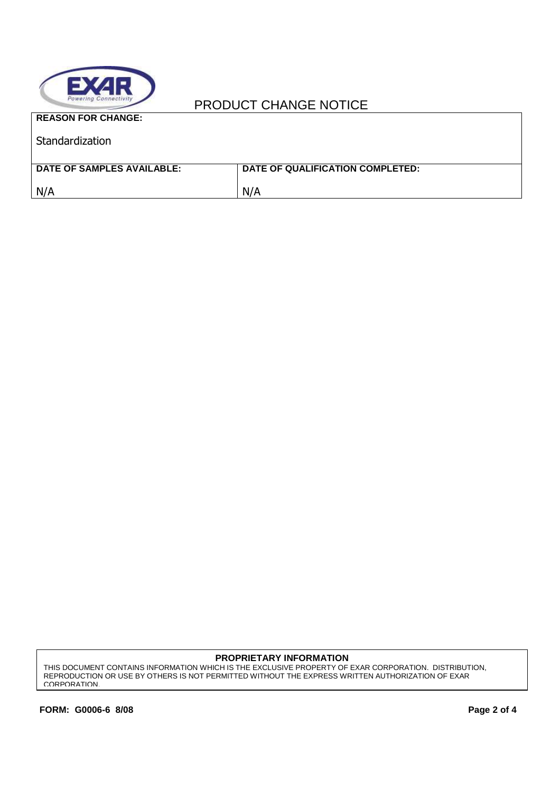

### PRODUCT CHANGE NOTICE

| <b>REASON FOR CHANGE:</b>  |                                  |
|----------------------------|----------------------------------|
| Standardization            |                                  |
|                            |                                  |
| DATE OF SAMPLES AVAILABLE: | DATE OF QUALIFICATION COMPLETED: |
| N/A                        | N/A                              |
|                            |                                  |

#### **PROPRIETARY INFORMATION**

THIS DOCUMENT CONTAINS INFORMATION WHICH IS THE EXCLUSIVE PROPERTY OF EXAR CORPORATION. DISTRIBUTION, REPRODUCTION OR USE BY OTHERS IS NOT PERMITTED WITHOUT THE EXPRESS WRITTEN AUTHORIZATION OF EXAR CORPORATION.

٦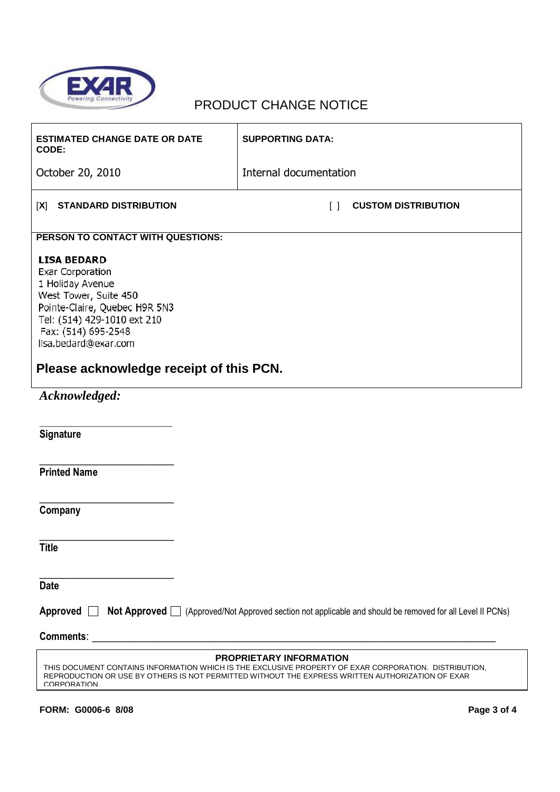

### PRODUCT CHANGE NOTICE

| <b>ESTIMATED CHANGE DATE OR DATE</b><br>CODE:                                                                                                                                                                                                              | <b>SUPPORTING DATA:</b>                       |  |  |  |
|------------------------------------------------------------------------------------------------------------------------------------------------------------------------------------------------------------------------------------------------------------|-----------------------------------------------|--|--|--|
| October 20, 2010                                                                                                                                                                                                                                           | Internal documentation                        |  |  |  |
| <b>STANDARD DISTRIBUTION</b><br>[X]                                                                                                                                                                                                                        | <b>CUSTOM DISTRIBUTION</b><br>$\lceil \rceil$ |  |  |  |
| PERSON TO CONTACT WITH QUESTIONS:                                                                                                                                                                                                                          |                                               |  |  |  |
| <b>LISA BEDARD</b><br><b>Exar Corporation</b><br>1 Holiday Avenue<br>West Tower, Suite 450<br>Pointe-Claire, Quebec H9R 5N3<br>Tel: (514) 429-1010 ext 210<br>Fax: (514) 695-2548<br>lisa.bedard@exar.com<br>Please acknowledge receipt of this PCN.       |                                               |  |  |  |
| Acknowledged:                                                                                                                                                                                                                                              |                                               |  |  |  |
| Signature                                                                                                                                                                                                                                                  |                                               |  |  |  |
| <b>Printed Name</b>                                                                                                                                                                                                                                        |                                               |  |  |  |
| Company                                                                                                                                                                                                                                                    |                                               |  |  |  |
| <b>Title</b>                                                                                                                                                                                                                                               |                                               |  |  |  |
| <b>Date</b>                                                                                                                                                                                                                                                |                                               |  |  |  |
| Approved <b>Not Approved</b> (Approved/Not Approved section not applicable and should be removed for all Level II PCNs)                                                                                                                                    |                                               |  |  |  |
| <b>Comments:</b>                                                                                                                                                                                                                                           |                                               |  |  |  |
| <b>PROPRIETARY INFORMATION</b><br>THIS DOCUMENT CONTAINS INFORMATION WHICH IS THE EXCLUSIVE PROPERTY OF EXAR CORPORATION. DISTRIBUTION,<br>REPRODUCTION OR USE BY OTHERS IS NOT PERMITTED WITHOUT THE EXPRESS WRITTEN AUTHORIZATION OF EXAR<br>CORPORATION |                                               |  |  |  |